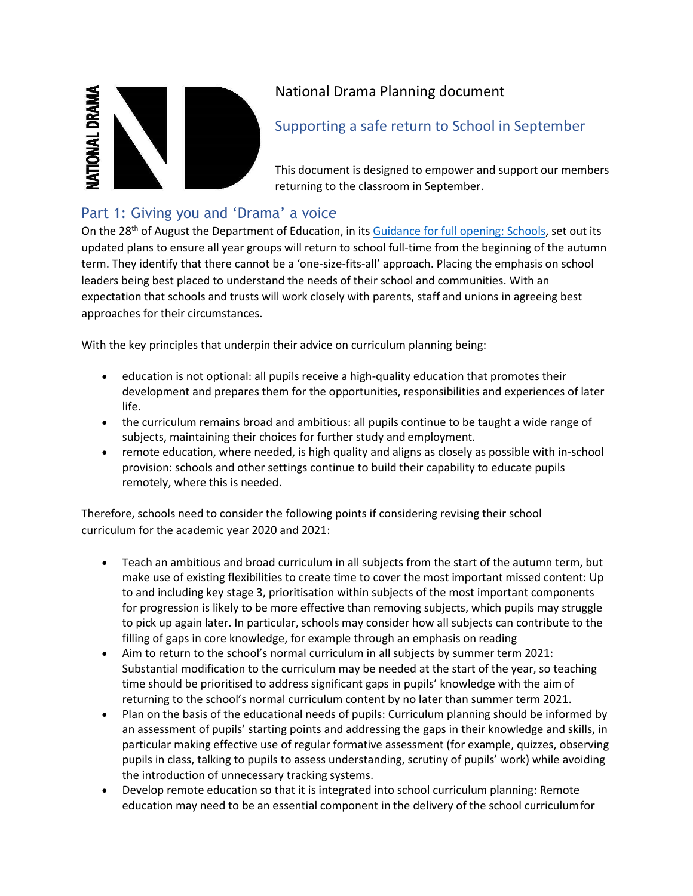

# National Drama Planning document

# Supporting a safe return to School in September

This document is designed to empower and support our members returning to the classroom in September.

## Part 1: Giving you and 'Drama' a voice

On the 28<sup>th</sup> of August the Department of Education, in it[s Guidance for full opening: Schools,](https://www.gov.uk/government/publications/actions-for-schools-during-the-coronavirus-outbreak/guidance-for-full-opening-schools) set out its updated plans to ensure all year groups will return to school full-time from the beginning of the autumn term. They identify that there cannot be a 'one-size-fits-all' approach. Placing the emphasis on school leaders being best placed to understand the needs of their school and communities. With an expectation that schools and trusts will work closely with parents, staff and unions in agreeing best approaches for their circumstances.

With the key principles that underpin their advice on curriculum planning being:

- education is not optional: all pupils receive a high-quality education that promotes their development and prepares them for the opportunities, responsibilities and experiences of later life.
- the curriculum remains broad and ambitious: all pupils continue to be taught a wide range of subjects, maintaining their choices for further study and employment.
- remote education, where needed, is high quality and aligns as closely as possible with in-school provision: schools and other settings continue to build their capability to educate pupils remotely, where this is needed.

Therefore, schools need to consider the following points if considering revising their school curriculum for the academic year 2020 and 2021:

- Teach an ambitious and broad curriculum in all subjects from the start of the autumn term, but make use of existing flexibilities to create time to cover the most important missed content: Up to and including key stage 3, prioritisation within subjects of the most important components for progression is likely to be more effective than removing subjects, which pupils may struggle to pick up again later. In particular, schools may consider how all subjects can contribute to the filling of gaps in core knowledge, for example through an emphasis on reading
- Aim to return to the school's normal curriculum in all subjects by summer term 2021: Substantial modification to the curriculum may be needed at the start of the year, so teaching time should be prioritised to address significant gaps in pupils' knowledge with the aimof returning to the school's normal curriculum content by no later than summer term 2021.
- Plan on the basis of the educational needs of pupils: Curriculum planning should be informed by an assessment of pupils' starting points and addressing the gaps in their knowledge and skills, in particular making effective use of regular formative assessment (for example, quizzes, observing pupils in class, talking to pupils to assess understanding, scrutiny of pupils' work) while avoiding the introduction of unnecessary tracking systems.
- Develop remote education so that it is integrated into school curriculum planning: Remote education may need to be an essential component in the delivery of the school curriculumfor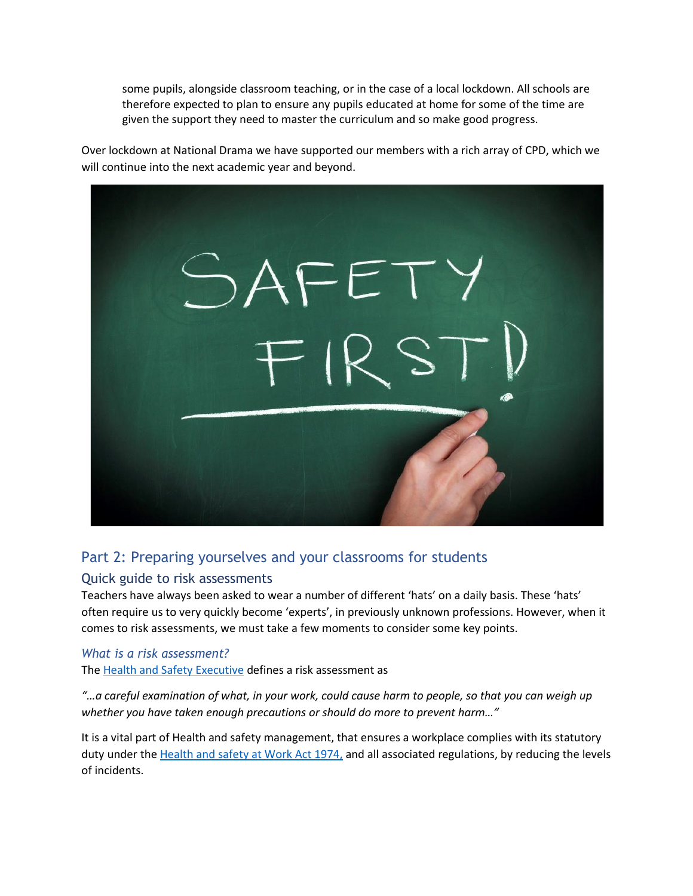some pupils, alongside classroom teaching, or in the case of a local lockdown. All schools are therefore expected to plan to ensure any pupils educated at home for some of the time are given the support they need to master the curriculum and so make good progress.

Over lockdown at National Drama we have supported our members with a rich array of CPD, which we will continue into the next academic year and beyond.



## Part 2: Preparing yourselves and your classrooms for students

## Quick guide to risk assessments

Teachers have always been asked to wear a number of different 'hats' on a daily basis. These 'hats' often require us to very quickly become 'experts', in previously unknown professions. However, when it comes to risk assessments, we must take a few moments to consider some key points.

## *What is a risk assessment?*

The [Health and Safety Executive](https://www.hse.gov.uk/simple-health-safety/risk/index.htm) defines a risk assessment as

*"…a careful examination of what, in your work, could cause harm to people, so that you can weigh up whether you have taken enough precautions or should do more to prevent harm…"*

It is a vital part of Health and safety management, that ensures a workplace complies with its statutory duty under the [Health and safety at Work Act 1974,](https://www.hse.gov.uk/legislation/hswa.htm) and all associated regulations, by reducing the levels of incidents.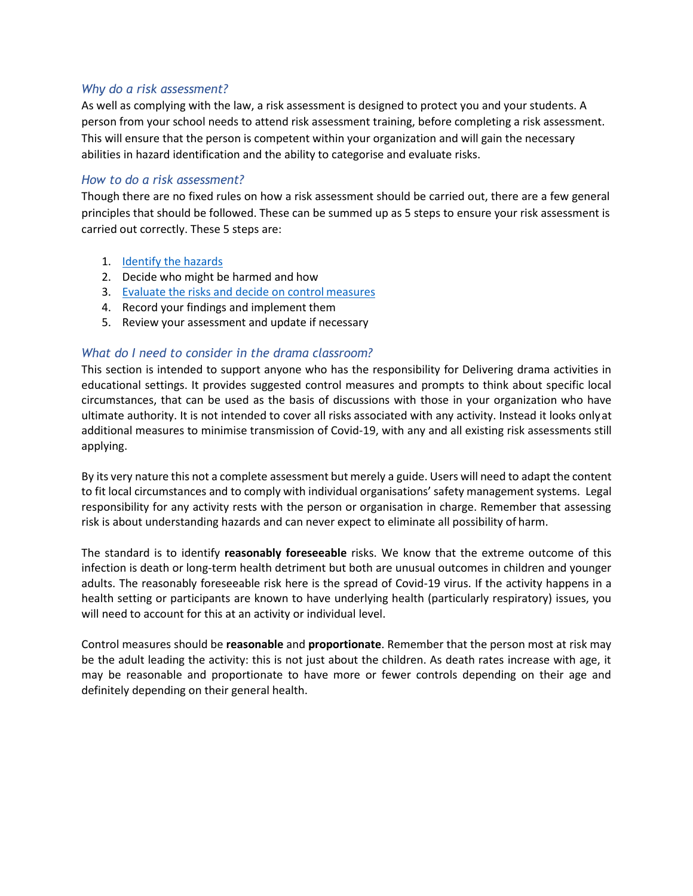#### *Why do a risk assessment?*

As well as complying with the law, a risk assessment is designed to protect you and your students. A person from your school needs to attend risk assessment training, before completing a risk assessment. This will ensure that the person is competent within your organization and will gain the necessary abilities in hazard identification and the ability to categorise and evaluate risks.

#### *How to do a risk assessment?*

Though there are no fixed rules on how a risk assessment should be carried out, there are a few general principles that should be followed. These can be summed up as 5 steps to ensure your risk assessment is carried out correctly. These 5 steps are:

- 1. **[Identify the](https://www.hse.gov.uk/coronavirus/working-safely/index.htm) hazards**
- 2. Decide who might be harmed and how
- 3. [Evaluate the risks and decide on control](https://www.hse.gov.uk/pubns/books/hsg268.htm) measures
- 4. Record your findings and implement them
- 5. Review your assessment and update if necessary

### *What do I need to consider in the drama classroom?*

This section is intended to support anyone who has the responsibility for Delivering drama activities in educational settings. It provides suggested control measures and prompts to think about specific local circumstances, that can be used as the basis of discussions with those in your organization who have ultimate authority. It is not intended to cover all risks associated with any activity. Instead it looks onlyat additional measures to minimise transmission of Covid-19, with any and all existing risk assessments still applying.

By its very nature this not a complete assessment but merely a guide. Users will need to adapt the content to fit local circumstances and to comply with individual organisations' safety management systems. Legal responsibility for any activity rests with the person or organisation in charge. Remember that assessing risk is about understanding hazards and can never expect to eliminate all possibility of harm.

The standard is to identify **reasonably foreseeable** risks. We know that the extreme outcome of this infection is death or long-term health detriment but both are unusual outcomes in children and younger adults. The reasonably foreseeable risk here is the spread of Covid-19 virus. If the activity happens in a health setting or participants are known to have underlying health (particularly respiratory) issues, you will need to account for this at an activity or individual level.

Control measures should be **reasonable** and **proportionate**. Remember that the person most at risk may be the adult leading the activity: this is not just about the children. As death rates increase with age, it may be reasonable and proportionate to have more or fewer controls depending on their age and definitely depending on their general health.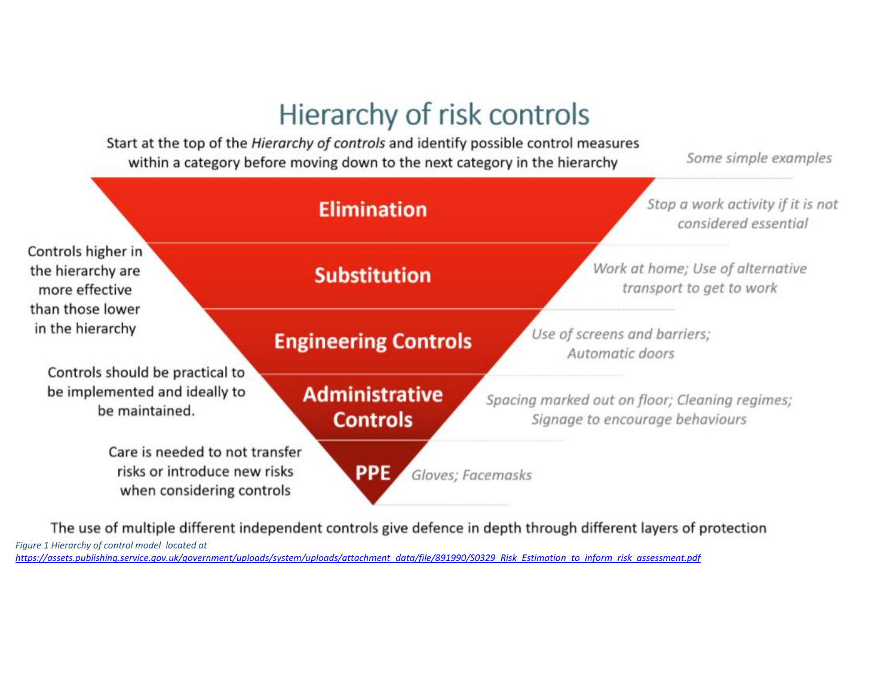# Hierarchy of risk controls

Start at the top of the Hierarchy of controls and identify possible control measures within a category before moving down to the next category in the hierarchy

Some simple examples



The use of multiple different independent controls give defence in depth through different layers of protection

*Figure 1 Hierarchy of control model located at* 

*[https://assets.publishing.service.gov.uk/government/uploads/system/uploads/attachment\\_data/file/891990/S0329\\_Risk\\_Estimation\\_to\\_inform\\_risk\\_assessment.pdf](https://assets.publishing.service.gov.uk/government/uploads/system/uploads/attachment_data/file/891990/S0329_Risk_Estimation_to_inform_risk_assessment.pdf)*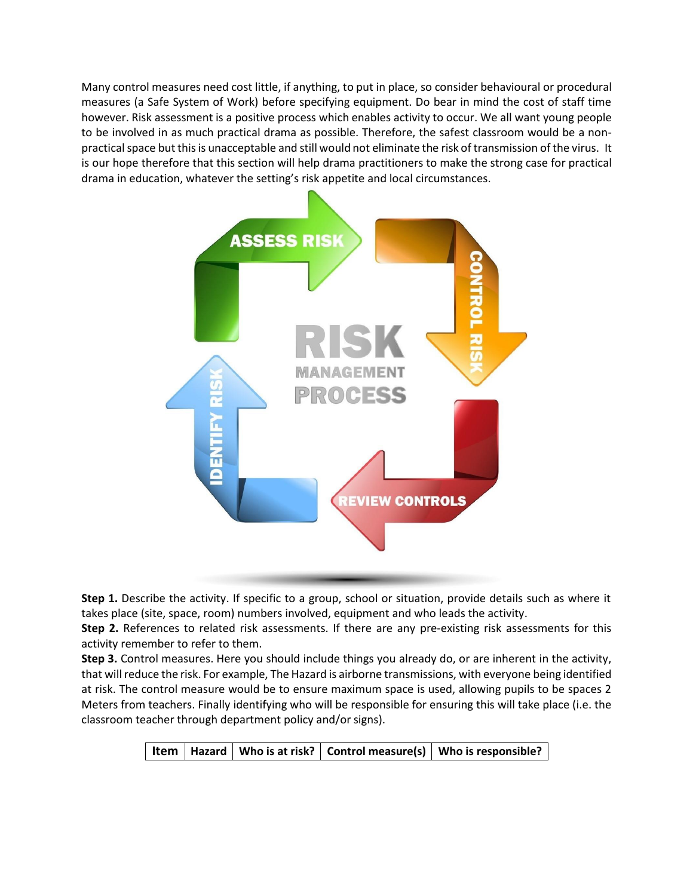Many control measures need cost little, if anything, to put in place, so consider behavioural or procedural measures (a Safe System of Work) before specifying equipment. Do bear in mind the cost of staff time however. Risk assessment is a positive process which enables activity to occur. We all want young people to be involved in as much practical drama as possible. Therefore, the safest classroom would be a nonpractical space but this is unacceptable and still would not eliminate the risk of transmission of the virus. It is our hope therefore that this section will help drama practitioners to make the strong case for practical drama in education, whatever the setting's risk appetite and local circumstances.



**Step 1.** Describe the activity. If specific to a group, school or situation, provide details such as where it takes place (site, space, room) numbers involved, equipment and who leads the activity.

**Step 2.** References to related risk assessments. If there are any pre-existing risk assessments for this activity remember to refer to them.

**Step 3.** Control measures. Here you should include things you already do, or are inherent in the activity, that willreduce the risk. For example, The Hazard is airborne transmissions, with everyone being identified at risk. The control measure would be to ensure maximum space is used, allowing pupils to be spaces 2 Meters from teachers. Finally identifying who will be responsible for ensuring this will take place (i.e. the classroom teacher through department policy and/or signs).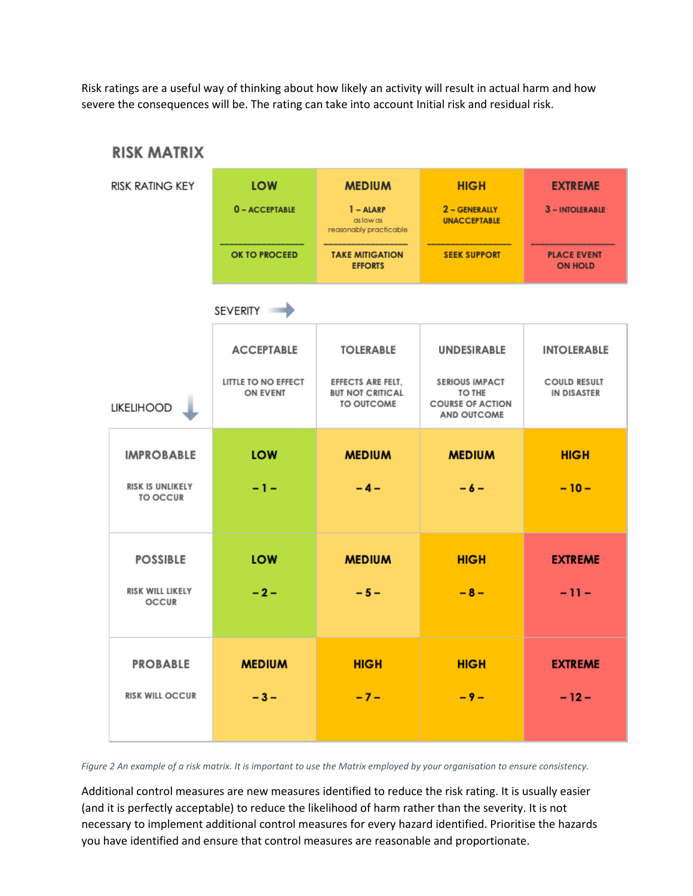Risk ratings are a useful way of thinking about how likely an activity will result in actual harm and how severe the consequences will be. The rating can take into account Initial risk and residual risk.



*Figure 2 An example of a risk matrix. It is important to use the Matrix employed by your organisation to ensure consistency.*

Additional control measures are new measures identified to reduce the risk rating. It is usually easier (and it is perfectly acceptable) to reduce the likelihood of harm rather than the severity. It is not necessary to implement additional control measures for every hazard identified. Prioritise the hazards you have identified and ensure that control measures are reasonable and proportionate.